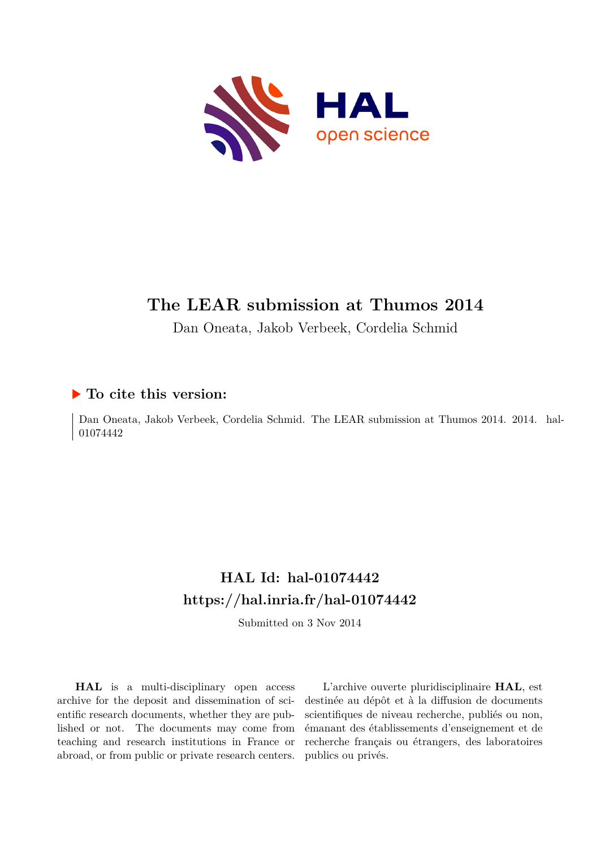

# **The LEAR submission at Thumos 2014**

Dan Oneata, Jakob Verbeek, Cordelia Schmid

## **To cite this version:**

Dan Oneata, Jakob Verbeek, Cordelia Schmid. The LEAR submission at Thumos 2014. 2014. hal-01074442

# **HAL Id: hal-01074442 <https://hal.inria.fr/hal-01074442>**

Submitted on 3 Nov 2014

**HAL** is a multi-disciplinary open access archive for the deposit and dissemination of scientific research documents, whether they are published or not. The documents may come from teaching and research institutions in France or abroad, or from public or private research centers.

L'archive ouverte pluridisciplinaire **HAL**, est destinée au dépôt et à la diffusion de documents scientifiques de niveau recherche, publiés ou non, émanant des établissements d'enseignement et de recherche français ou étrangers, des laboratoires publics ou privés.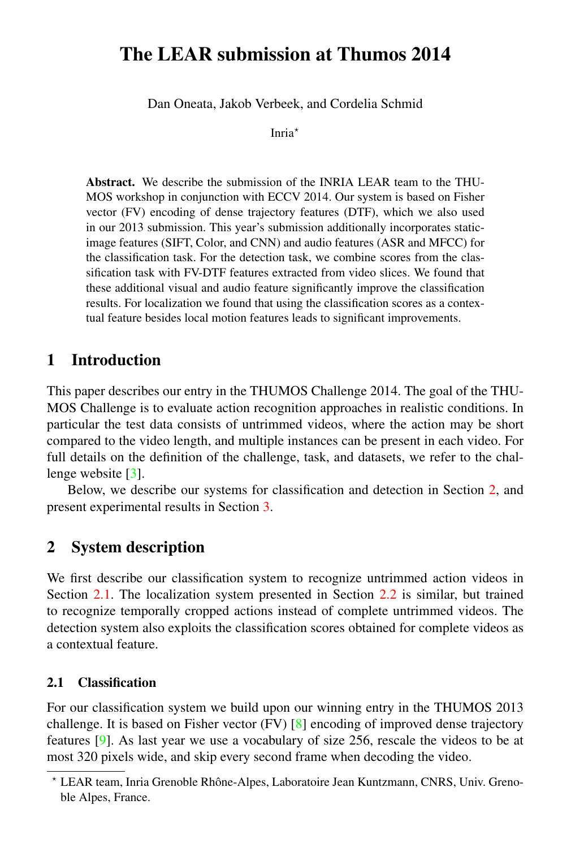## The LEAR submission at Thumos 2014

Dan Oneata, Jakob Verbeek, and Cordelia Schmid

Inria<sup>\*</sup>

Abstract. We describe the submission of the INRIA LEAR team to the THU-MOS workshop in conjunction with ECCV 2014. Our system is based on Fisher vector (FV) encoding of dense trajectory features (DTF), which we also used in our 2013 submission. This year's submission additionally incorporates staticimage features (SIFT, Color, and CNN) and audio features (ASR and MFCC) for the classification task. For the detection task, we combine scores from the classification task with FV-DTF features extracted from video slices. We found that these additional visual and audio feature significantly improve the classification results. For localization we found that using the classification scores as a contextual feature besides local motion features leads to significant improvements.

## 1 Introduction

This paper describes our entry in the THUMOS Challenge 2014. The goal of the THU-MOS Challenge is to evaluate action recognition approaches in realistic conditions. In particular the test data consists of untrimmed videos, where the action may be short compared to the video length, and multiple instances can be present in each video. For full details on the definition of the challenge, task, and datasets, we refer to the chal-lenge website [\[3\]](#page-7-0).

Below, we describe our systems for classification and detection in Section [2,](#page-1-0) and present experimental results in Section [3.](#page-3-0)

## <span id="page-1-0"></span>2 System description

We first describe our classification system to recognize untrimmed action videos in Section [2.1.](#page-1-1) The localization system presented in Section [2.2](#page-3-1) is similar, but trained to recognize temporally cropped actions instead of complete untrimmed videos. The detection system also exploits the classification scores obtained for complete videos as a contextual feature.

#### <span id="page-1-1"></span>2.1 Classification

For our classification system we build upon our winning entry in the THUMOS 2013 challenge. It is based on Fisher vector (FV) [\[8\]](#page-7-1) encoding of improved dense trajectory features [\[9\]](#page-7-2). As last year we use a vocabulary of size 256, rescale the videos to be at most 320 pixels wide, and skip every second frame when decoding the video.

<sup>⋆</sup> LEAR team, Inria Grenoble Rhone-Alpes, Laboratoire Jean Kuntzmann, CNRS, Univ. Greno- ˆ ble Alpes, France.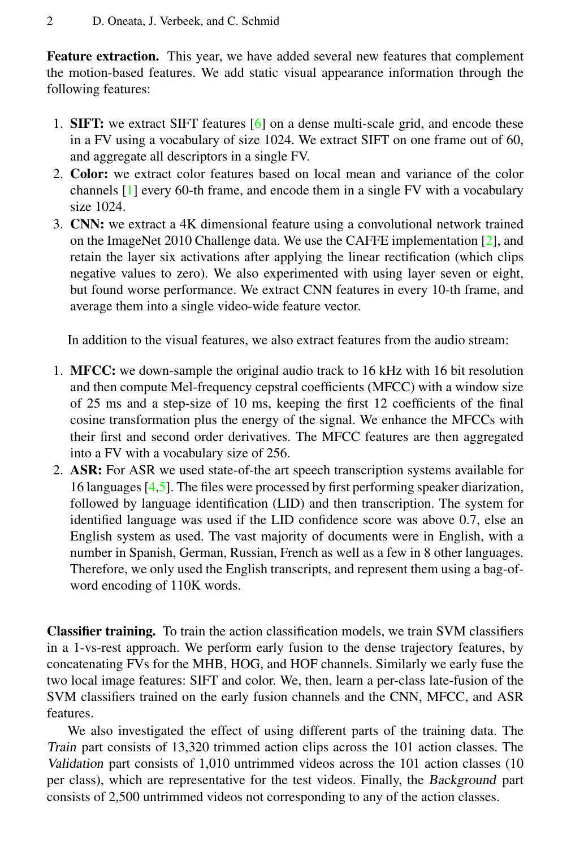Feature extraction. This year, we have added several new features that complement the motion-based features. We add static visual appearance information through the following features:

- 1. SIFT: we extract SIFT features [\[6\]](#page-7-3) on a dense multi-scale grid, and encode these in a FV using a vocabulary of size 1024. We extract SIFT on one frame out of 60, and aggregate all descriptors in a single FV.
- 2. Color: we extract color features based on local mean and variance of the color channels [\[1\]](#page-6-0) every 60-th frame, and encode them in a single FV with a vocabulary size 1024.
- 3. CNN: we extract a 4K dimensional feature using a convolutional network trained on the ImageNet 2010 Challenge data. We use the CAFFE implementation [\[2\]](#page-7-4), and retain the layer six activations after applying the linear rectification (which clips negative values to zero). We also experimented with using layer seven or eight, but found worse performance. We extract CNN features in every 10-th frame, and average them into a single video-wide feature vector.

In addition to the visual features, we also extract features from the audio stream:

- 1. MFCC: we down-sample the original audio track to 16 kHz with 16 bit resolution and then compute Mel-frequency cepstral coefficients (MFCC) with a window size of 25 ms and a step-size of 10 ms, keeping the first 12 coefficients of the final cosine transformation plus the energy of the signal. We enhance the MFCCs with their first and second order derivatives. The MFCC features are then aggregated into a FV with a vocabulary size of 256.
- 2. ASR: For ASR we used state-of-the art speech transcription systems available for 16 languages [\[4](#page-7-5)[,5\]](#page-7-6). The files were processed by first performing speaker diarization, followed by language identification (LID) and then transcription. The system for identified language was used if the LID confidence score was above 0.7, else an English system as used. The vast majority of documents were in English, with a number in Spanish, German, Russian, French as well as a few in 8 other languages. Therefore, we only used the English transcripts, and represent them using a bag-ofword encoding of 110K words.

Classifier training. To train the action classification models, we train SVM classifiers in a 1-vs-rest approach. We perform early fusion to the dense trajectory features, by concatenating FVs for the MHB, HOG, and HOF channels. Similarly we early fuse the two local image features: SIFT and color. We, then, learn a per-class late-fusion of the SVM classifiers trained on the early fusion channels and the CNN, MFCC, and ASR features.

We also investigated the effect of using different parts of the training data. The Train part consists of 13,320 trimmed action clips across the 101 action classes. The Validation part consists of 1,010 untrimmed videos across the 101 action classes (10 per class), which are representative for the test videos. Finally, the Background part consists of 2,500 untrimmed videos not corresponding to any of the action classes.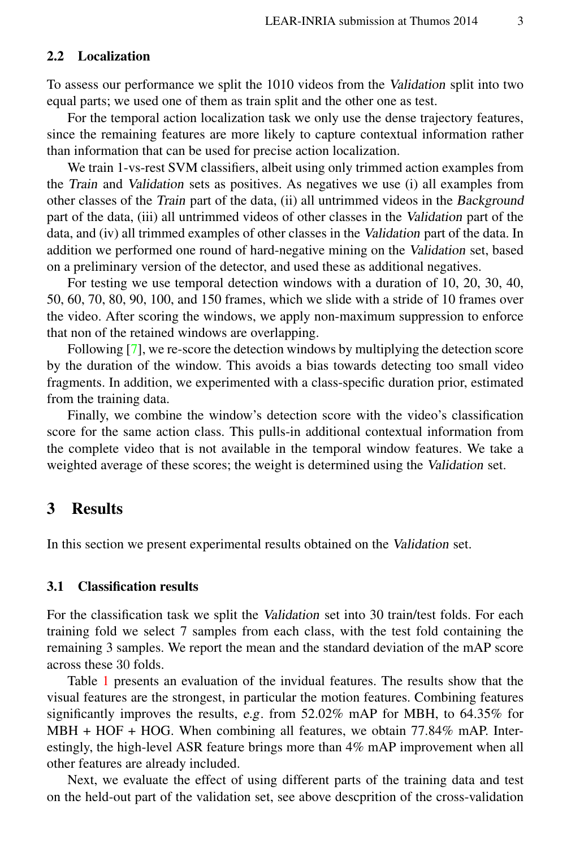#### <span id="page-3-1"></span>2.2 Localization

To assess our performance we split the 1010 videos from the Validation split into two equal parts; we used one of them as train split and the other one as test.

For the temporal action localization task we only use the dense trajectory features, since the remaining features are more likely to capture contextual information rather than information that can be used for precise action localization.

We train 1-vs-rest SVM classifiers, albeit using only trimmed action examples from the Train and Validation sets as positives. As negatives we use (i) all examples from other classes of the Train part of the data, (ii) all untrimmed videos in the Background part of the data, (iii) all untrimmed videos of other classes in the Validation part of the data, and (iv) all trimmed examples of other classes in the Validation part of the data. In addition we performed one round of hard-negative mining on the Validation set, based on a preliminary version of the detector, and used these as additional negatives.

For testing we use temporal detection windows with a duration of 10, 20, 30, 40, 50, 60, 70, 80, 90, 100, and 150 frames, which we slide with a stride of 10 frames over the video. After scoring the windows, we apply non-maximum suppression to enforce that non of the retained windows are overlapping.

Following [\[7\]](#page-7-7), we re-score the detection windows by multiplying the detection score by the duration of the window. This avoids a bias towards detecting too small video fragments. In addition, we experimented with a class-specific duration prior, estimated from the training data.

Finally, we combine the window's detection score with the video's classification score for the same action class. This pulls-in additional contextual information from the complete video that is not available in the temporal window features. We take a weighted average of these scores; the weight is determined using the Validation set.

### <span id="page-3-0"></span>3 Results

In this section we present experimental results obtained on the Validation set.

#### 3.1 Classification results

For the classification task we split the Validation set into 30 train/test folds. For each training fold we select 7 samples from each class, with the test fold containing the remaining 3 samples. We report the mean and the standard deviation of the mAP score across these 30 folds.

Table [1](#page-4-0) presents an evaluation of the invidual features. The results show that the visual features are the strongest, in particular the motion features. Combining features significantly improves the results, e.g. from 52.02% mAP for MBH, to 64.35% for MBH + HOF + HOG. When combining all features, we obtain 77.84% mAP. Interestingly, the high-level ASR feature brings more than 4% mAP improvement when all other features are already included.

Next, we evaluate the effect of using different parts of the training data and test on the held-out part of the validation set, see above descprition of the cross-validation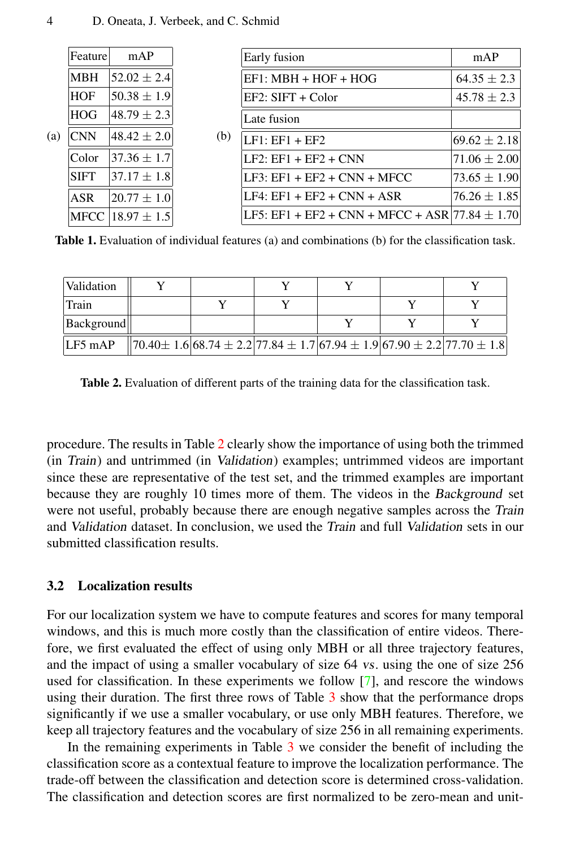| (a) | Feature     | mAP                    | (b) | Early fusion                                       | mAP              |  |
|-----|-------------|------------------------|-----|----------------------------------------------------|------------------|--|
|     | <b>MBH</b>  | $ 52.02 + 2.4 $        |     | $EF1: MBH + HOF + HOG$                             | $64.35 \pm 2.3$  |  |
|     | <b>HOF</b>  | $50.38 \pm 1.9$        |     | EF2: SIFT + Color                                  | $45.78 \pm 2.3$  |  |
|     | <b>HOG</b>  | $ 48.79 \pm 2.3 $      |     | Late fusion                                        |                  |  |
|     | <b>CNN</b>  | $ 48.42 \pm 2.0 $      |     | $LE1: EF1 + EF2$                                   | $69.62 \pm 2.18$ |  |
|     | Color       | $ 37.36 \pm 1.7 $      |     | $LE2: EF1 + EF2 + CNN$                             | $71.06 \pm 2.00$ |  |
|     | <b>SIFT</b> | $ 37.17 + 1.8 $        |     | LF3: EF1 + EF2 + CNN + MFCC                        | $73.65 \pm 1.90$ |  |
|     | <b>ASR</b>  | $[20.77 + 1.0]$        |     | $LF4: EF1 + EF2 + CNN + ASR$                       | $76.26 \pm 1.85$ |  |
|     |             | MFCC $ 18.97 \pm 1.5 $ |     | LF5: EF1 + EF2 + CNN + MFCC + ASR 77.84 $\pm$ 1.70 |                  |  |

<span id="page-4-0"></span>Table 1. Evaluation of individual features (a) and combinations (b) for the classification task.

| Validation |  |  |                                                                                         |
|------------|--|--|-----------------------------------------------------------------------------------------|
| Train      |  |  |                                                                                         |
| Background |  |  |                                                                                         |
| $LF5$ mAP  |  |  | $\left[ 70.40\pm1.6 68.74\pm2.2 77.84\pm1.7 67.94\pm1.9 67.90\pm2.2 77.70\pm1.8\right]$ |

<span id="page-4-1"></span>Table 2. Evaluation of different parts of the training data for the classification task.

procedure. The results in Table [2](#page-4-1) clearly show the importance of using both the trimmed (in Train) and untrimmed (in Validation) examples; untrimmed videos are important since these are representative of the test set, and the trimmed examples are important because they are roughly 10 times more of them. The videos in the Background set were not useful, probably because there are enough negative samples across the Train and Validation dataset. In conclusion, we used the Train and full Validation sets in our submitted classification results.

#### 3.2 Localization results

For our localization system we have to compute features and scores for many temporal windows, and this is much more costly than the classification of entire videos. Therefore, we first evaluated the effect of using only MBH or all three trajectory features, and the impact of using a smaller vocabulary of size 64 vs. using the one of size 256 used for classification. In these experiments we follow [\[7\]](#page-7-7), and rescore the windows using their duration. The first three rows of Table [3](#page-5-0) show that the performance drops significantly if we use a smaller vocabulary, or use only MBH features. Therefore, we keep all trajectory features and the vocabulary of size 256 in all remaining experiments.

In the remaining experiments in Table [3](#page-5-0) we consider the benefit of including the classification score as a contextual feature to improve the localization performance. The trade-off between the classification and detection score is determined cross-validation. The classification and detection scores are first normalized to be zero-mean and unit-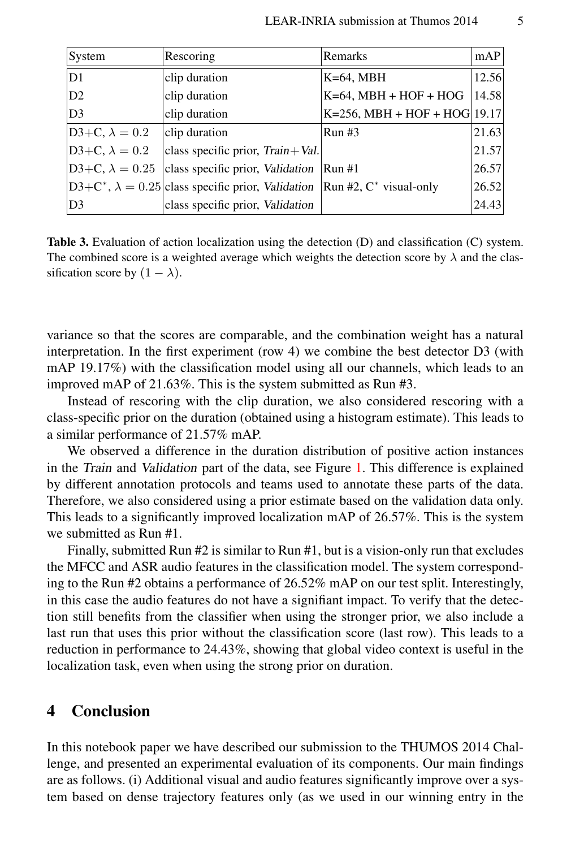| System                | Rescoring                                                                                         | Remarks                                 | mAP   |
|-----------------------|---------------------------------------------------------------------------------------------------|-----------------------------------------|-------|
| D1                    | clip duration                                                                                     | $K=64$ , MBH                            | 12.56 |
| D2                    | clip duration                                                                                     | $K=64$ , MBH + HOF + HOG                | 14.58 |
| D <sub>3</sub>        | clip duration                                                                                     | $K=256$ , MBH + HOF + HOG 19.17         |       |
| D3+C, $\lambda = 0.2$ | clip duration                                                                                     | Run#3                                   | 21.63 |
| D3+C, $\lambda = 0.2$ | class specific prior, $Train + Val$ .                                                             |                                         | 21.57 |
|                       | $D3+C$ , $\lambda = 0.25$ class specific prior, Validation                                        | $\left\vert \text{Run} \#1 \right\vert$ | 26.57 |
|                       | $ D3+ C^*, \lambda = 0.25 $ class specific prior, Validation   Run #2, C <sup>*</sup> visual-only |                                         | 26.52 |
| D <sub>3</sub>        | class specific prior, Validation                                                                  |                                         | 24.43 |

<span id="page-5-0"></span>Table 3. Evaluation of action localization using the detection (D) and classification (C) system. The combined score is a weighted average which weights the detection score by  $\lambda$  and the classification score by  $(1 - \lambda)$ .

variance so that the scores are comparable, and the combination weight has a natural interpretation. In the first experiment (row 4) we combine the best detector D3 (with mAP 19.17%) with the classification model using all our channels, which leads to an improved mAP of 21.63%. This is the system submitted as Run #3.

Instead of rescoring with the clip duration, we also considered rescoring with a class-specific prior on the duration (obtained using a histogram estimate). This leads to a similar performance of 21.57% mAP.

We observed a difference in the duration distribution of positive action instances in the Train and Validation part of the data, see Figure [1.](#page-6-1) This difference is explained by different annotation protocols and teams used to annotate these parts of the data. Therefore, we also considered using a prior estimate based on the validation data only. This leads to a significantly improved localization mAP of 26.57%. This is the system we submitted as Run #1.

Finally, submitted Run #2 is similar to Run #1, but is a vision-only run that excludes the MFCC and ASR audio features in the classification model. The system corresponding to the Run #2 obtains a performance of 26.52% mAP on our test split. Interestingly, in this case the audio features do not have a signifiant impact. To verify that the detection still benefits from the classifier when using the stronger prior, we also include a last run that uses this prior without the classification score (last row). This leads to a reduction in performance to 24.43%, showing that global video context is useful in the localization task, even when using the strong prior on duration.

### 4 Conclusion

In this notebook paper we have described our submission to the THUMOS 2014 Challenge, and presented an experimental evaluation of its components. Our main findings are as follows. (i) Additional visual and audio features significantly improve over a system based on dense trajectory features only (as we used in our winning entry in the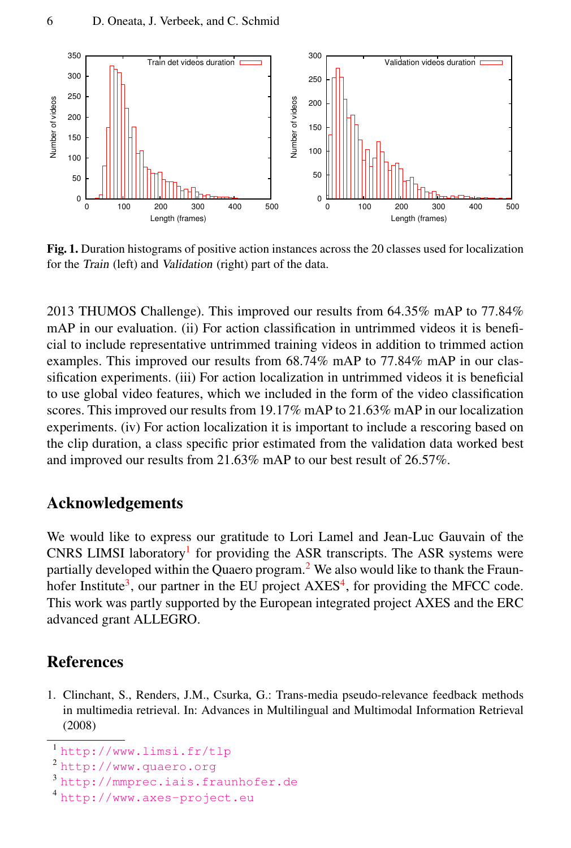

<span id="page-6-1"></span>Fig. 1. Duration histograms of positive action instances across the 20 classes used for localization for the Train (left) and Validation (right) part of the data.

2013 THUMOS Challenge). This improved our results from 64.35% mAP to 77.84% mAP in our evaluation. (ii) For action classification in untrimmed videos it is beneficial to include representative untrimmed training videos in addition to trimmed action examples. This improved our results from 68.74% mAP to 77.84% mAP in our classification experiments. (iii) For action localization in untrimmed videos it is beneficial to use global video features, which we included in the form of the video classification scores. This improved our results from 19.17% mAP to 21.63% mAP in our localization experiments. (iv) For action localization it is important to include a rescoring based on the clip duration, a class specific prior estimated from the validation data worked best and improved our results from 21.63% mAP to our best result of 26.57%.

## Acknowledgements

We would like to express our gratitude to Lori Lamel and Jean-Luc Gauvain of the CNRS LIMSI laboratory<sup>[1](#page-6-2)</sup> for providing the ASR transcripts. The ASR systems were partially developed within the Quaero program.<sup>[2](#page-6-3)</sup> We also would like to thank the Fraun-hofer Institute<sup>[3](#page-6-4)</sup>, our partner in the EU project AXES<sup>[4](#page-6-5)</sup>, for providing the MFCC code. This work was partly supported by the European integrated project AXES and the ERC advanced grant ALLEGRO.

## References

<span id="page-6-0"></span>1. Clinchant, S., Renders, J.M., Csurka, G.: Trans-media pseudo-relevance feedback methods in multimedia retrieval. In: Advances in Multilingual and Multimodal Information Retrieval (2008)

<span id="page-6-2"></span><sup>1</sup> <http://www.limsi.fr/tlp>

<span id="page-6-3"></span><sup>2</sup> <http://www.quaero.org>

<span id="page-6-4"></span><sup>3</sup> <http://mmprec.iais.fraunhofer.de>

<span id="page-6-5"></span><sup>4</sup> <http://www.axes-project.eu>